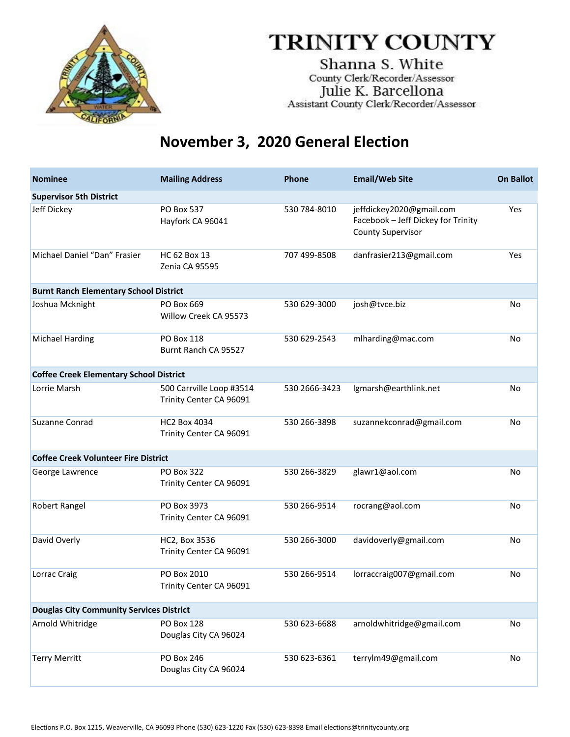

Shanna S. White County Clerk/Recorder/Assessor Julie K. Barcellona Assistant County Clerk/Recorder/Assessor

| <b>Nominee</b>                                  | <b>Mailing Address</b>                              | Phone         | <b>Email/Web Site</b>                                                                      | <b>On Ballot</b> |
|-------------------------------------------------|-----------------------------------------------------|---------------|--------------------------------------------------------------------------------------------|------------------|
| <b>Supervisor 5th District</b>                  |                                                     |               |                                                                                            |                  |
| Jeff Dickey                                     | PO Box 537<br>Hayfork CA 96041                      | 530 784-8010  | jeffdickey2020@gmail.com<br>Facebook - Jeff Dickey for Trinity<br><b>County Supervisor</b> | Yes              |
| Michael Daniel "Dan" Frasier                    | HC 62 Box 13<br>Zenia CA 95595                      | 707 499-8508  | danfrasier213@gmail.com                                                                    | Yes              |
| <b>Burnt Ranch Elementary School District</b>   |                                                     |               |                                                                                            |                  |
| Joshua Mcknight                                 | PO Box 669<br>Willow Creek CA 95573                 | 530 629-3000  | josh@tvce.biz                                                                              | No               |
| <b>Michael Harding</b>                          | PO Box 118<br>Burnt Ranch CA 95527                  | 530 629-2543  | mlharding@mac.com                                                                          | No               |
| <b>Coffee Creek Elementary School District</b>  |                                                     |               |                                                                                            |                  |
| Lorrie Marsh                                    | 500 Carrville Loop #3514<br>Trinity Center CA 96091 | 530 2666-3423 | lgmarsh@earthlink.net                                                                      | No               |
| Suzanne Conrad                                  | <b>HC2 Box 4034</b><br>Trinity Center CA 96091      | 530 266-3898  | suzannekconrad@gmail.com                                                                   | No               |
| <b>Coffee Creek Volunteer Fire District</b>     |                                                     |               |                                                                                            |                  |
| George Lawrence                                 | PO Box 322<br>Trinity Center CA 96091               | 530 266-3829  | glawr1@aol.com                                                                             | No               |
| Robert Rangel                                   | PO Box 3973<br>Trinity Center CA 96091              | 530 266-9514  | rocrang@aol.com                                                                            | No               |
| David Overly                                    | HC2, Box 3536<br>Trinity Center CA 96091            | 530 266-3000  | davidoverly@gmail.com                                                                      | No               |
| Lorrac Craig                                    | PO Box 2010<br>Trinity Center CA 96091              | 530 266-9514  | lorraccraig007@gmail.com                                                                   | No               |
| <b>Douglas City Community Services District</b> |                                                     |               |                                                                                            |                  |
| Arnold Whitridge                                | <b>PO Box 128</b><br>Douglas City CA 96024          | 530 623-6688  | arnoldwhitridge@gmail.com                                                                  | No               |
| <b>Terry Merritt</b>                            | <b>PO Box 246</b><br>Douglas City CA 96024          | 530 623-6361  | terrylm49@gmail.com                                                                        | No               |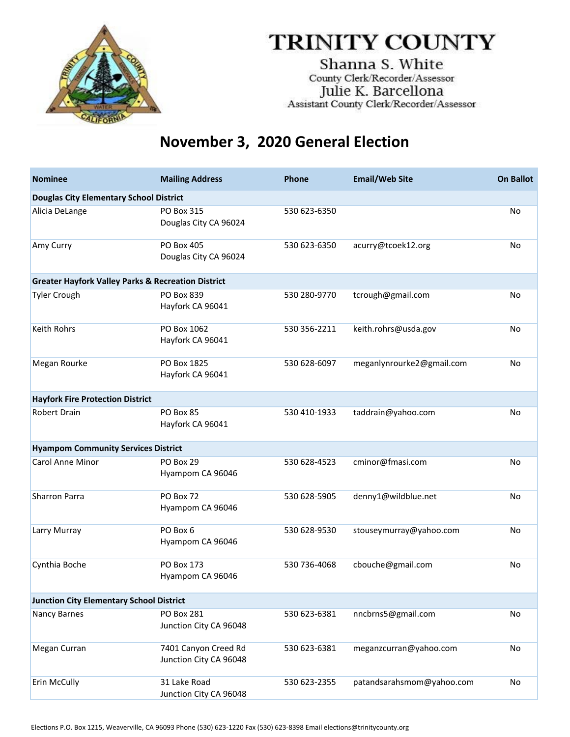

Shanna S. White County Clerk/Recorder/Assessor Julie K. Barcellona Assistant County Clerk/Recorder/Assessor

#### **November 3, 2020 General Election**

| <b>Nominee</b>                                                | <b>Mailing Address</b>                         | <b>Phone</b> | <b>Email/Web Site</b>     | <b>On Ballot</b> |  |
|---------------------------------------------------------------|------------------------------------------------|--------------|---------------------------|------------------|--|
| <b>Douglas City Elementary School District</b>                |                                                |              |                           |                  |  |
| Alicia DeLange                                                | PO Box 315<br>Douglas City CA 96024            | 530 623-6350 |                           | <b>No</b>        |  |
| Amy Curry                                                     | <b>PO Box 405</b><br>Douglas City CA 96024     | 530 623-6350 | acurry@tcoek12.org        | No               |  |
| <b>Greater Hayfork Valley Parks &amp; Recreation District</b> |                                                |              |                           |                  |  |
| <b>Tyler Crough</b>                                           | PO Box 839<br>Hayfork CA 96041                 | 530 280-9770 | tcrough@gmail.com         | <b>No</b>        |  |
| <b>Keith Rohrs</b>                                            | PO Box 1062<br>Hayfork CA 96041                | 530 356-2211 | keith.rohrs@usda.gov      | No               |  |
| Megan Rourke                                                  | PO Box 1825<br>Hayfork CA 96041                | 530 628-6097 | meganlynrourke2@gmail.com | <b>No</b>        |  |
| <b>Hayfork Fire Protection District</b>                       |                                                |              |                           |                  |  |
| <b>Robert Drain</b>                                           | PO Box 85<br>Hayfork CA 96041                  | 530 410-1933 | taddrain@yahoo.com        | <b>No</b>        |  |
| <b>Hyampom Community Services District</b>                    |                                                |              |                           |                  |  |
| Carol Anne Minor                                              | PO Box 29<br>Hyampom CA 96046                  | 530 628-4523 | cminor@fmasi.com          | <b>No</b>        |  |
| Sharron Parra                                                 | PO Box 72<br>Hyampom CA 96046                  | 530 628-5905 | denny1@wildblue.net       | No               |  |
| Larry Murray                                                  | PO Box 6<br>Hyampom CA 96046                   | 530 628-9530 | stouseymurray@yahoo.com   | <b>No</b>        |  |
| Cynthia Boche                                                 | PO Box 173<br>Hyampom CA 96046                 | 530 736-4068 | cbouche@gmail.com         | No               |  |
| <b>Junction City Elementary School District</b>               |                                                |              |                           |                  |  |
| Nancy Barnes                                                  | PO Box 281<br>Junction City CA 96048           | 530 623-6381 | nncbrns5@gmail.com        | No               |  |
| Megan Curran                                                  | 7401 Canyon Creed Rd<br>Junction City CA 96048 | 530 623-6381 | meganzcurran@yahoo.com    | No               |  |
| Erin McCully                                                  | 31 Lake Road<br>Junction City CA 96048         | 530 623-2355 | patandsarahsmom@yahoo.com | No               |  |

Elections P.O. Box 1215, Weaverville, CA 96093 Phone (530) 623‐1220 Fax (530) 623‐8398 Email elections@trinitycounty.org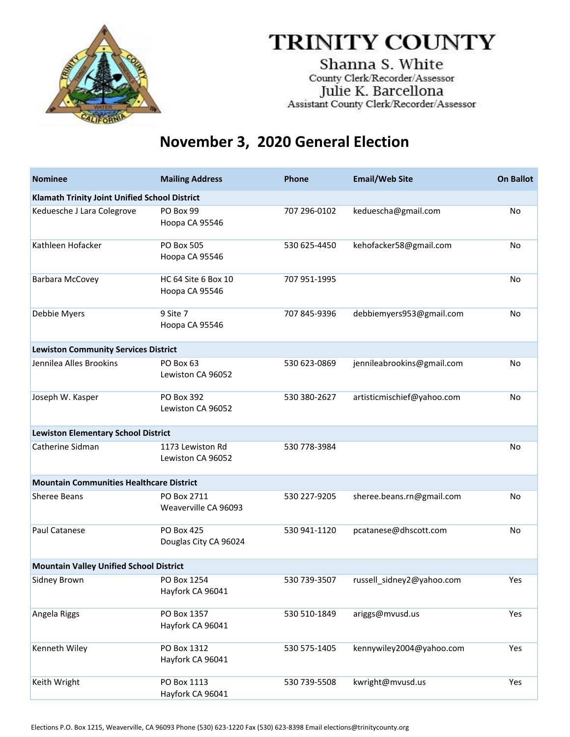

Shanna S. White County Clerk/Recorder/Assessor Julie K. Barcellona<br>Assistant County Clerk/Recorder/Assessor

#### **November 3, 2020 General Election**

| <b>Nominee</b>                                  | <b>Mailing Address</b>                     | <b>Phone</b> | <b>Email/Web Site</b>      | <b>On Ballot</b> |  |
|-------------------------------------------------|--------------------------------------------|--------------|----------------------------|------------------|--|
| Klamath Trinity Joint Unified School District   |                                            |              |                            |                  |  |
| Keduesche J Lara Colegrove                      | PO Box 99<br>Hoopa CA 95546                | 707 296-0102 | keduescha@gmail.com        | No               |  |
| Kathleen Hofacker                               | PO Box 505<br>Hoopa CA 95546               | 530 625-4450 | kehofacker58@gmail.com     | No               |  |
| Barbara McCovey                                 | HC 64 Site 6 Box 10<br>Hoopa CA 95546      | 707 951-1995 |                            | No               |  |
| Debbie Myers                                    | 9 Site 7<br>Hoopa CA 95546                 | 707 845-9396 | debbiemyers953@gmail.com   | No               |  |
| <b>Lewiston Community Services District</b>     |                                            |              |                            |                  |  |
| Jennilea Alles Brookins                         | PO Box 63<br>Lewiston CA 96052             | 530 623-0869 | jennileabrookins@gmail.com | <b>No</b>        |  |
| Joseph W. Kasper                                | PO Box 392<br>Lewiston CA 96052            | 530 380-2627 | artisticmischief@yahoo.com | No               |  |
| <b>Lewiston Elementary School District</b>      |                                            |              |                            |                  |  |
| Catherine Sidman                                | 1173 Lewiston Rd<br>Lewiston CA 96052      | 530 778-3984 |                            | No               |  |
| <b>Mountain Communities Healthcare District</b> |                                            |              |                            |                  |  |
| Sheree Beans                                    | PO Box 2711<br>Weaverville CA 96093        | 530 227-9205 | sheree.beans.rn@gmail.com  | No               |  |
| Paul Catanese                                   | <b>PO Box 425</b><br>Douglas City CA 96024 | 530 941-1120 | pcatanese@dhscott.com      | No               |  |
| <b>Mountain Valley Unified School District</b>  |                                            |              |                            |                  |  |
| Sidney Brown                                    | PO Box 1254<br>Hayfork CA 96041            | 530 739-3507 | russell_sidney2@yahoo.com  | Yes              |  |
| Angela Riggs                                    | PO Box 1357<br>Hayfork CA 96041            | 530 510-1849 | ariggs@mvusd.us            | Yes              |  |
| Kenneth Wiley                                   | PO Box 1312<br>Hayfork CA 96041            | 530 575-1405 | kennywiley2004@yahoo.com   | Yes              |  |
| Keith Wright                                    | PO Box 1113<br>Hayfork CA 96041            | 530 739-5508 | kwright@mvusd.us           | Yes              |  |

Elections P.O. Box 1215, Weaverville, CA 96093 Phone (530) 623‐1220 Fax (530) 623‐8398 Email elections@trinitycounty.org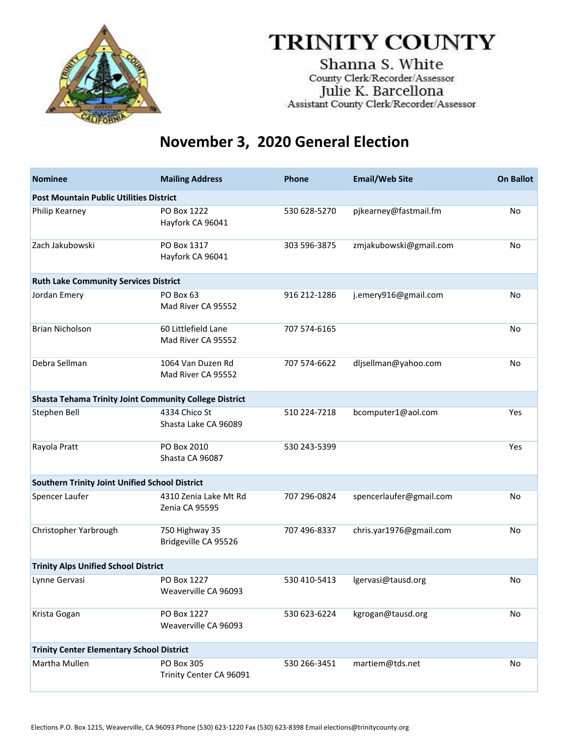

Shanna S. White County Clerk/Recorder/Assessor Julie K. Barcellona Assistant County Clerk/Recorder/Assessor

| <b>Nominee</b>                                                | <b>Mailing Address</b>                    | <b>Phone</b> | <b>Email/Web Site</b>   | <b>On Ballot</b> |  |
|---------------------------------------------------------------|-------------------------------------------|--------------|-------------------------|------------------|--|
| <b>Post Mountain Public Utilities District</b>                |                                           |              |                         |                  |  |
| Philip Kearney                                                | PO Box 1222<br>Hayfork CA 96041           | 530 628-5270 | pjkearney@fastmail.fm   | <b>No</b>        |  |
| Zach Jakubowski                                               | PO Box 1317<br>Hayfork CA 96041           | 303 596-3875 | zmjakubowski@gmail.com  | No               |  |
| <b>Ruth Lake Community Services District</b>                  |                                           |              |                         |                  |  |
| Jordan Emery                                                  | PO Box 63<br>Mad River CA 95552           | 916 212-1286 | j.emery916@gmail.com    | No               |  |
| <b>Brian Nicholson</b>                                        | 60 Littlefield Lane<br>Mad River CA 95552 | 707 574-6165 |                         | <b>No</b>        |  |
| Debra Sellman                                                 | 1064 Van Duzen Rd<br>Mad River CA 95552   | 707 574-6622 | dljsellman@yahoo.com    | No               |  |
| <b>Shasta Tehama Trinity Joint Community College District</b> |                                           |              |                         |                  |  |
| Stephen Bell                                                  | 4334 Chico St<br>Shasta Lake CA 96089     | 510 224-7218 | bcomputer1@aol.com      | Yes              |  |
| Rayola Pratt                                                  | PO Box 2010<br>Shasta CA 96087            | 530 243-5399 |                         | Yes              |  |
| Southern Trinity Joint Unified School District                |                                           |              |                         |                  |  |
| Spencer Laufer                                                | 4310 Zenia Lake Mt Rd<br>Zenia CA 95595   | 707 296-0824 | spencerlaufer@gmail.com | <b>No</b>        |  |
| Christopher Yarbrough                                         | 750 Highway 35<br>Bridgeville CA 95526    | 707 496-8337 | chris.yar1976@gmail.com | No               |  |
| <b>Trinity Alps Unified School District</b>                   |                                           |              |                         |                  |  |
| Lynne Gervasi                                                 | PO Box 1227<br>Weaverville CA 96093       | 530 410-5413 | lgervasi@tausd.org      | No               |  |
| Krista Gogan                                                  | PO Box 1227<br>Weaverville CA 96093       | 530 623-6224 | kgrogan@tausd.org       | No               |  |
| <b>Trinity Center Elementary School District</b>              |                                           |              |                         |                  |  |
| Martha Mullen                                                 | PO Box 305<br>Trinity Center CA 96091     | 530 266-3451 | martiem@tds.net         | No               |  |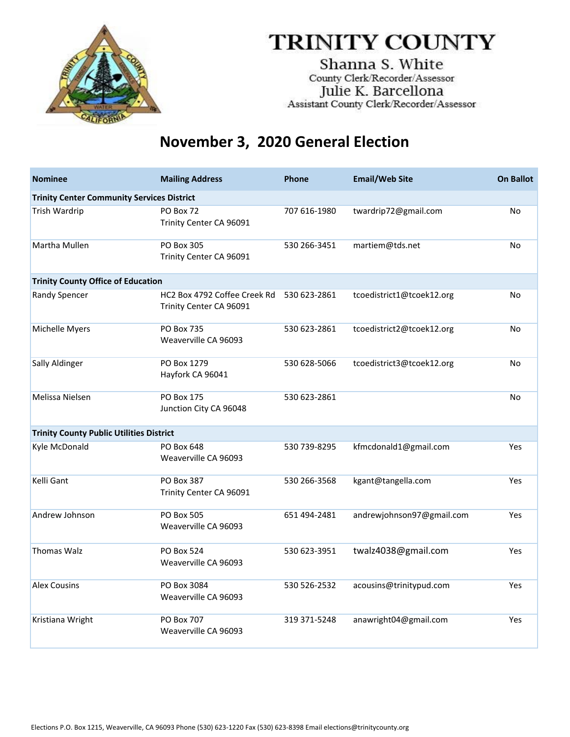

Shanna S. White County Clerk/Recorder/Assessor Julie K. Barcellona Assistant County Clerk/Recorder/Assessor

| <b>Nominee</b>                                    | <b>Mailing Address</b>                                  | <b>Phone</b> | <b>Email/Web Site</b>     | <b>On Ballot</b> |
|---------------------------------------------------|---------------------------------------------------------|--------------|---------------------------|------------------|
| <b>Trinity Center Community Services District</b> |                                                         |              |                           |                  |
| <b>Trish Wardrip</b>                              | PO Box 72<br>Trinity Center CA 96091                    | 707 616-1980 | twardrip72@gmail.com      | No               |
| Martha Mullen                                     | PO Box 305<br>Trinity Center CA 96091                   | 530 266-3451 | martiem@tds.net           | No               |
| <b>Trinity County Office of Education</b>         |                                                         |              |                           |                  |
| Randy Spencer                                     | HC2 Box 4792 Coffee Creek Rd<br>Trinity Center CA 96091 | 530 623-2861 | tcoedistrict1@tcoek12.org | No               |
| Michelle Myers                                    | <b>PO Box 735</b><br>Weaverville CA 96093               | 530 623-2861 | tcoedistrict2@tcoek12.org | No               |
| Sally Aldinger                                    | PO Box 1279<br>Hayfork CA 96041                         | 530 628-5066 | tcoedistrict3@tcoek12.org | No               |
| Melissa Nielsen                                   | <b>PO Box 175</b><br>Junction City CA 96048             | 530 623-2861 |                           | No               |
| <b>Trinity County Public Utilities District</b>   |                                                         |              |                           |                  |
| Kyle McDonald                                     | PO Box 648<br>Weaverville CA 96093                      | 530 739-8295 | kfmcdonald1@gmail.com     | Yes              |
| Kelli Gant                                        | <b>PO Box 387</b><br>Trinity Center CA 96091            | 530 266-3568 | kgant@tangella.com        | Yes              |
| Andrew Johnson                                    | <b>PO Box 505</b><br>Weaverville CA 96093               | 651 494-2481 | andrewjohnson97@gmail.com | Yes              |
| <b>Thomas Walz</b>                                | <b>PO Box 524</b><br>Weaverville CA 96093               | 530 623-3951 | twalz4038@gmail.com       | <b>Yes</b>       |
| <b>Alex Cousins</b>                               | PO Box 3084<br>Weaverville CA 96093                     | 530 526-2532 | acousins@trinitypud.com   | Yes              |
| Kristiana Wright                                  | <b>PO Box 707</b><br>Weaverville CA 96093               | 319 371-5248 | anawright04@gmail.com     | Yes              |